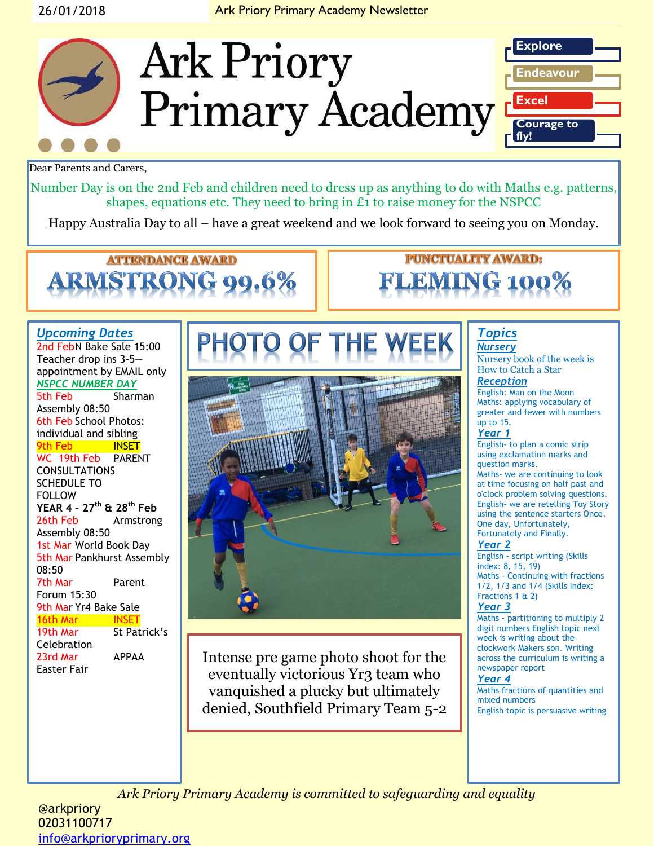# 26/01/2018 **Ark Priory Primary Academy Newsletter**



Dear Parents and Carers,

Number Day is on the 2nd Feb and children need to dress up as anything to do with Maths e.g. patterns, shapes, equations etc. They need to bring in £1 to raise money for the NSPCC

Happy Australia Day to all – have a great weekend and we look forward to seeing you on Monday.

# **ATTENDANCE AWARD**

# **PUNCTUALITY AWARD:**

#### *Upcoming Dates* 2nd FebN Bake Sale 15:00 Teacher drop ins 3-5 appointment by EMAIL only *NSPCC NUMBER DAY*  5th Feb Sharman Assembly 08:50 6th Feb School Photos: individual and sibling 9th Feb INSET WC 19th Feb PARENT CONSULTATIONS SCHEDULE TO FOLLOW **YEAR 4 – 27th & 28th Feb** 26th Feb Armstrong Assembly 08:50 1st Mar World Book Day 5th Mar Pankhurst Assembly 08:50 7th Mar Parent Forum 15:30 9th Mar Yr4 Bake Sale 16th Mar INSET 19th Mar St Patrick's **Celebration**

23rd Mar APPAA Easter Fair



Intense pre game photo shoot for the eventually victorious Yr3 team who vanquished a plucky but ultimately denied, Southfield Primary Team 5-2

#### *Topics Nursery*

Nursery book of the week is How to Catch a Star

#### *Reception*

English: Man on the Moon Maths: applying vocabulary of greater and fewer with numbers up to 15.

#### *Year 1*

English- to plan a comic strip using exclamation marks and question marks. Maths- we are continuing to look at time focusing on half past and o'clock problem solving questions. English- we are retelling Toy Story using the sentence starters Once,

One day, Unfortunately, Fortunately and Finally.

#### *Year 2*

English - script writing (Skills index: 8, 15, 19) Maths - Continuing with fractions 1/2, 1/3 and 1/4 (Skills Index: Fractions 1 & 2)

#### *Year 3*

Maths - partitioning to multiply 2 digit numbers English topic next week is writing about the clockwork Makers son. Writing across the curriculum is writing a newspaper report

#### *Year 4*

Maths fractions of quantities and mixed numbers English topic is persuasive writing

*Ark Priory Primary Academy is committed to safeguarding and equality* 

@arkpriory 02031100717 [info@arkprioryprimary.org](mailto:info@arkprioryprimary.org)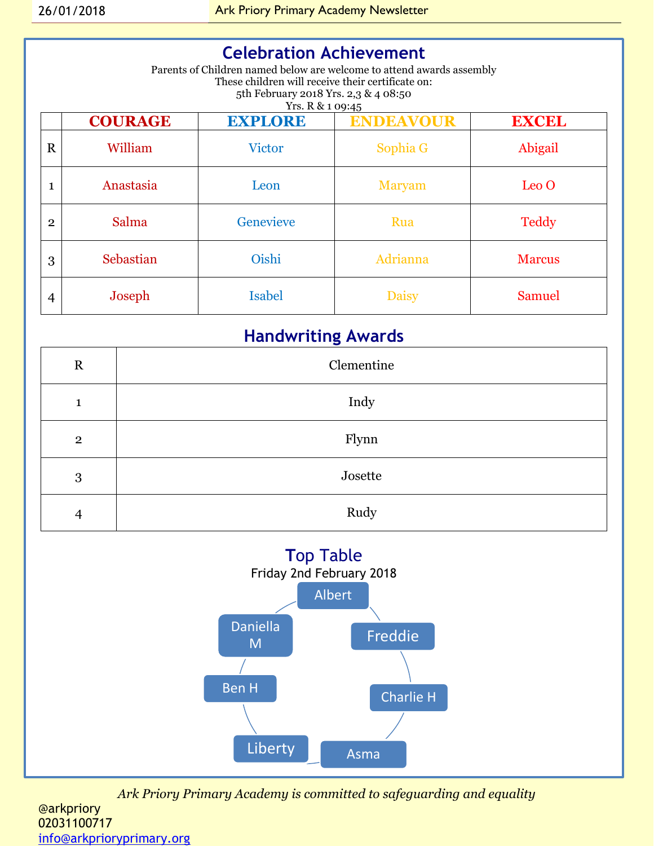# **Celebration Achievement**

Parents of Children named below are welcome to attend awards assembly These children will receive their certificate on: 5th February 2018 Yrs. 2,3 & 4 08:50 Yrs. R & 1 09:45

|                | <b>COURAGE</b> | <b>EXPLORE</b> | <b>ENDEAVOUR</b> | <b>EXCEL</b>     |
|----------------|----------------|----------------|------------------|------------------|
| $\mathbf R$    | William        | <b>Victor</b>  | Sophia G         | Abigail          |
| 1              | Anastasia      | Leon           | <b>Maryam</b>    | Leo <sub>O</sub> |
| $\overline{2}$ | Salma          | Genevieve      | Rua              | <b>Teddy</b>     |
| 3              | Sebastian      | Oishi          | Adrianna         | <b>Marcus</b>    |
| 4              | Joseph         | <b>Isabel</b>  | <b>Daisy</b>     | <b>Samuel</b>    |

# **Handwriting Awards**

| $\mathbf R$    | Clementine |  |
|----------------|------------|--|
| 1              | Indy       |  |
| $\overline{2}$ | Flynn      |  |
| 3              | Josette    |  |
| $\overline{4}$ | Rudy       |  |



*Ark Priory Primary Academy is committed to safeguarding and equality*  @arkpriory

02031100717 [info@arkprioryprimary.org](mailto:info@arkprioryprimary.org)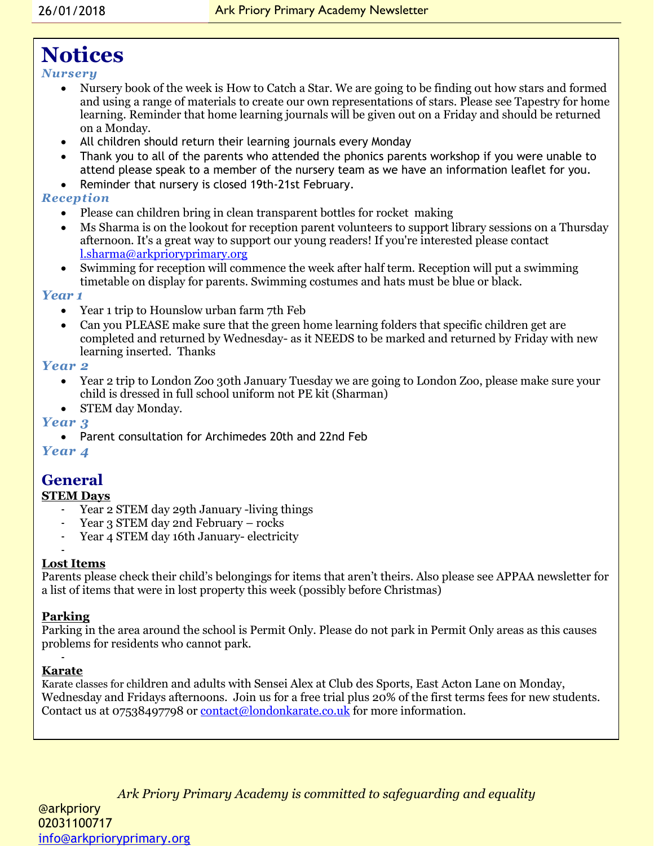# **Notices**

*Nursery*

- Nursery book of the week is How to Catch a Star. We are going to be finding out how stars and formed and using a range of materials to create our own representations of stars. Please see Tapestry for home learning. Reminder that home learning journals will be given out on a Friday and should be returned on a Monday.
- All children should return their learning journals every Monday
- Thank you to all of the parents who attended the phonics parents workshop if you were unable to attend please speak to a member of the nursery team as we have an information leaflet for you.
- Reminder that nursery is closed 19th-21st February.

# *Reception*

- Please can children bring in clean transparent bottles for rocket making
- Ms Sharma is on the lookout for reception parent volunteers to support library sessions on a Thursday afternoon. It's a great way to support our young readers! If you're interested please contact [l.sharma@arkprioryprimary.org](mailto:l.sharma@arkprioryprimary.org)
- Swimming for reception will commence the week after half term. Reception will put a swimming timetable on display for parents. Swimming costumes and hats must be blue or black.

#### *Year 1*

- Year 1 trip to Hounslow urban farm 7th Feb
- Can you PLEASE make sure that the green home learning folders that specific children get are completed and returned by Wednesday- as it NEEDS to be marked and returned by Friday with new learning inserted. Thanks

## *Year 2*

- Year 2 trip to London Zoo 30th January Tuesday we are going to London Zoo, please make sure your child is dressed in full school uniform not PE kit (Sharman)
- STEM day Monday.

## *Year 3*

Parent consultation for Archimedes 20th and 22nd Feb

# *Year 4*

# **General**

## **STEM Days**

- Year 2 STEM day 29th January -living things
- Year 3 STEM day 2nd February rocks
- Year 4 STEM day 16th January- electricity

#### - **Lost Items**

Parents please check their child's belongings for items that aren't theirs. Also please see APPAA newsletter for a list of items that were in lost property this week (possibly before Christmas)

## **Parking**

Parking in the area around the school is Permit Only. Please do not park in Permit Only areas as this causes problems for residents who cannot park.

#### - **Karate**

-

Karate classes for children and adults with Sensei Alex at Club des Sports, East Acton Lane on Monday, Wednesday and Fridays afternoons. Join us for a free trial plus 20% of the first terms fees for new students. Contact us at 07538497798 or [contact@londonkarate.co.uk](mailto:contact@londonkarate.co.uk) for more information.

*Ark Priory Primary Academy is committed to safeguarding and equality*  @arkpriory - 02031100717 [info@arkprioryprimary.org](mailto:info@arkprioryprimary.org)  - -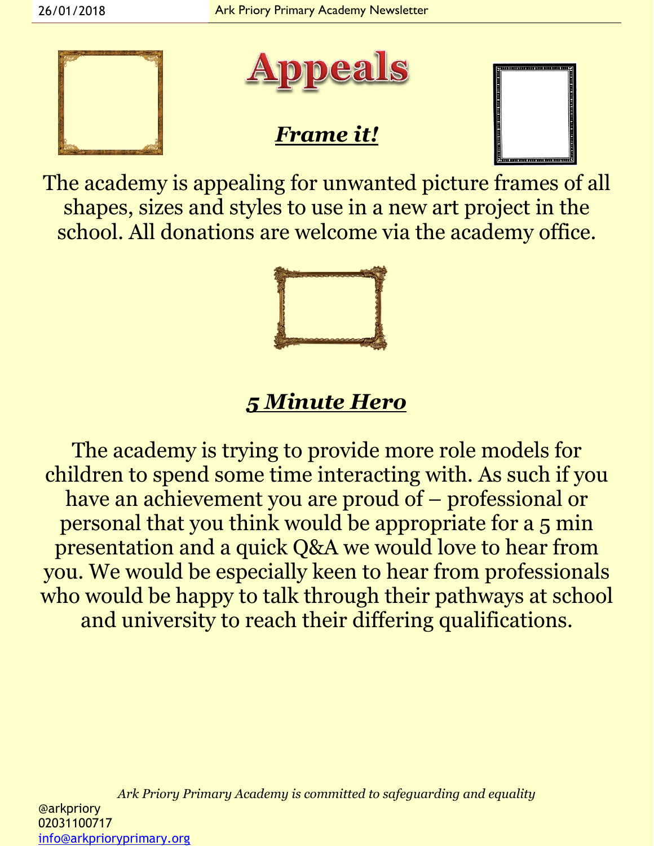



# *Frame it!*



The academy is appealing for unwanted picture frames of all shapes, sizes and styles to use in a new art project in the school. All donations are welcome via the academy office.



# *5 Minute Hero*

The academy is trying to provide more role models for children to spend some time interacting with. As such if you have an achievement you are proud of – professional or personal that you think would be appropriate for a 5 min presentation and a quick Q&A we would love to hear from you. We would be especially keen to hear from professionals who would be happy to talk through their pathways at school and university to reach their differing qualifications.

*Ark Priory Primary Academy is committed to safeguarding and equality*  @arkpriory 02031100717 [info@arkprioryprimary.org](mailto:info@arkprioryprimary.org)